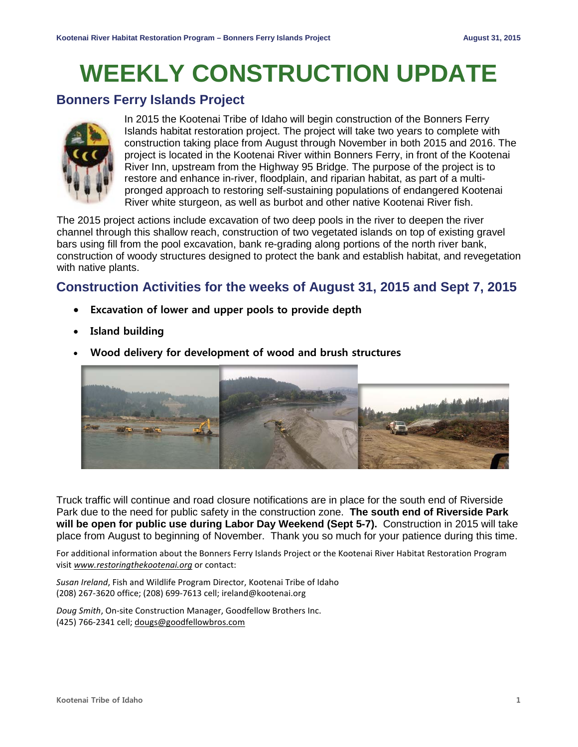# **WEEKLY CONSTRUCTION UPDATE**

### **Bonners Ferry Islands Project**



In 2015 the Kootenai Tribe of Idaho will begin construction of the Bonners Ferry Islands habitat restoration project. The project will take two years to complete with construction taking place from August through November in both 2015 and 2016. The project is located in the Kootenai River within Bonners Ferry, in front of the Kootenai River Inn, upstream from the Highway 95 Bridge. The purpose of the project is to restore and enhance in-river, floodplain, and riparian habitat, as part of a multipronged approach to restoring self-sustaining populations of endangered Kootenai River white sturgeon, as well as burbot and other native Kootenai River fish.

The 2015 project actions include excavation of two deep pools in the river to deepen the river channel through this shallow reach, construction of two vegetated islands on top of existing gravel bars using fill from the pool excavation, bank re-grading along portions of the north river bank, construction of woody structures designed to protect the bank and establish habitat, and revegetation with native plants.

## **Construction Activities for the weeks of August 31, 2015 and Sept 7, 2015**

- **Excavation of lower and upper pools to provide depth**
- **Island building**
- **Wood delivery for development of wood and brush structures**



Truck traffic will continue and road closure notifications are in place for the south end of Riverside Park due to the need for public safety in the construction zone. **The south end of Riverside Park will be open for public use during Labor Day Weekend (Sept 5-7).** Construction in 2015 will take place from August to beginning of November. Thank you so much for your patience during this time.

For additional information about the Bonners Ferry Islands Project or the Kootenai River Habitat Restoration Program visit *[www.restoringthekootenai.org](http://www.restoringthekootenai.org/)* or contact:

*Susan Ireland*, Fish and Wildlife Program Director, Kootenai Tribe of Idaho (208) 267-3620 office; (208) 699-7613 cell; [ireland@kootenai.org](mailto:ireland@kootenai.org)

*Doug Smith*, On-site Construction Manager, Goodfellow Brothers Inc. (425) 766-2341 cell; [dougs@goodfellowbros.com](mailto:dougs@goodfellowbros.com)